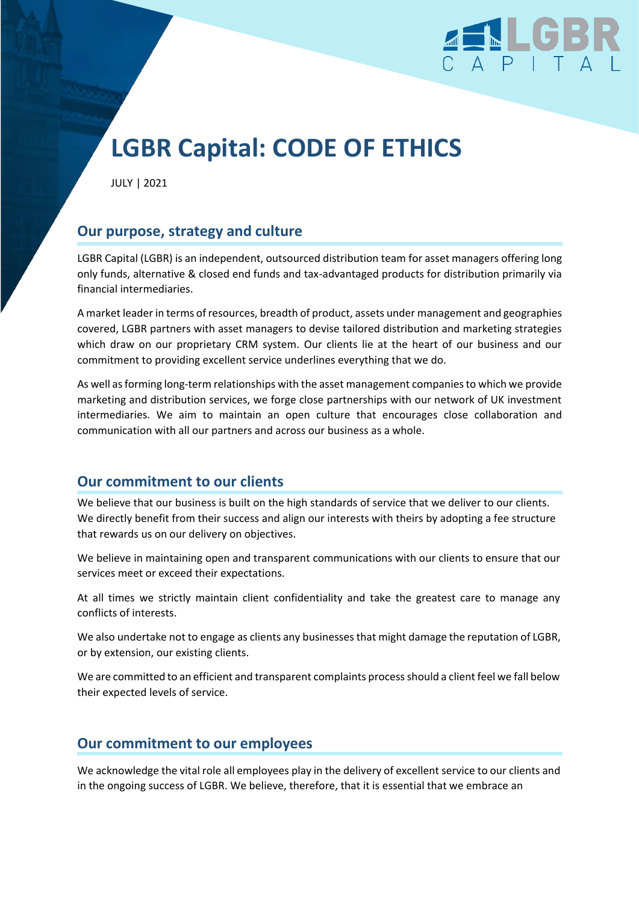

# **LGBR Capital: CODE OF ETHICS**

JULY | 2021

# **Our purpose, strategy and culture**

LGBR Capital (LGBR) is an independent, outsourced distribution team for asset managers offering long only funds, alternative & closed end funds and tax-advantaged products for distribution primarily via financial intermediaries.

A market leader in terms ofresources, breadth of product, assets under management and geographies covered, LGBR partners with asset managers to devise tailored distribution and marketing strategies which draw on our proprietary CRM system. Our clients lie at the heart of our business and our commitment to providing excellent service underlines everything that we do.

As well as forming long-term relationships with the asset management companies to which we provide marketing and distribution services, we forge close partnerships with our network of UK investment intermediaries. We aim to maintain an open culture that encourages close collaboration and communication with all our partners and across our business as a whole.

# **Our commitment to our clients**

We believe that our business is built on the high standards of service that we deliver to our clients. We directly benefit from their success and align our interests with theirs by adopting a fee structure that rewards us on our delivery on objectives.

We believe in maintaining open and transparent communications with our clients to ensure that our services meet or exceed their expectations.

At all times we strictly maintain client confidentiality and take the greatest care to manage any conflicts of interests.

We also undertake not to engage as clients any businesses that might damage the reputation of LGBR, or by extension, our existing clients.

We are committed to an efficient and transparent complaints process should a client feel we fall below their expected levels of service.

## **Our commitment to our employees**

We acknowledge the vital role all employees play in the delivery of excellent service to our clients and in the ongoing success of LGBR. We believe, therefore, that it is essential that we embrace an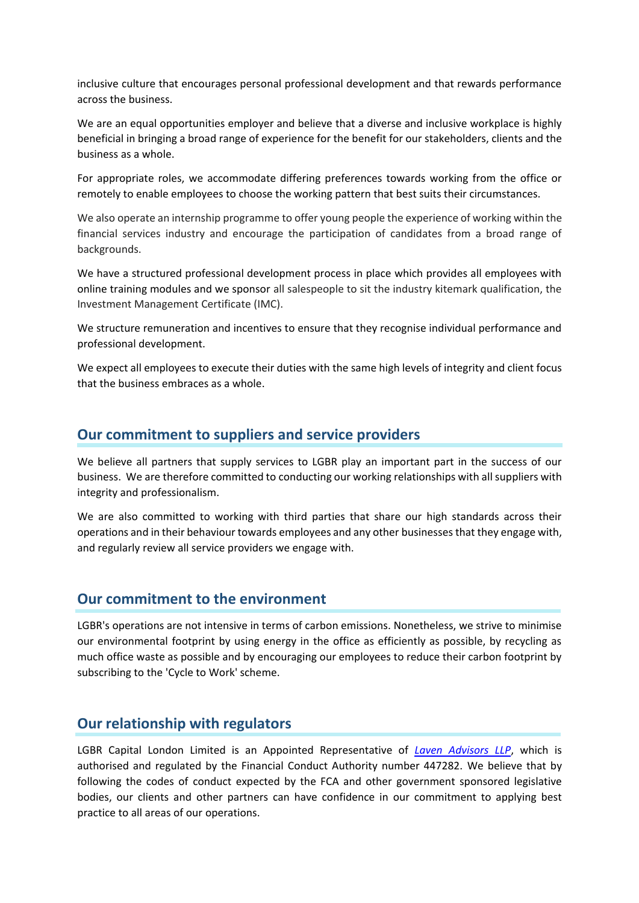inclusive culture that encourages personal professional development and that rewards performance across the business.

We are an equal opportunities employer and believe that a diverse and inclusive workplace is highly beneficial in bringing a broad range of experience for the benefit for our stakeholders, clients and the business as a whole.

For appropriate roles, we accommodate differing preferences towards working from the office or remotely to enable employees to choose the working pattern that best suits their circumstances.

We also operate an internship programme to offer young people the experience of working within the financial services industry and encourage the participation of candidates from a broad range of backgrounds.

We have a structured professional development process in place which provides all employees with online training modules and we sponsor all salespeople to sit the industry kitemark qualification, the Investment Management Certificate (IMC).

We structure remuneration and incentives to ensure that they recognise individual performance and professional development.

We expect all employees to execute their duties with the same high levels of integrity and client focus that the business embraces as a whole.

## **Our commitment to suppliers and service providers**

We believe all partners that supply services to LGBR play an important part in the success of our business. We are therefore committed to conducting our working relationships with all suppliers with integrity and professionalism.

We are also committed to working with third parties that share our high standards across their operations and in their behaviour towards employees and any other businessesthat they engage with, and regularly review all service providers we engage with.

## **Our commitment to the environment**

LGBR's operations are not intensive in terms of carbon emissions. Nonetheless, we strive to minimise our environmental footprint by using energy in the office as efficiently as possible, by recycling as much office waste as possible and by encouraging our employees to reduce their carbon footprint by subscribing to the 'Cycle to Work' scheme.

## **Our relationship with regulators**

LGBR Capital London Limited is an Appointed Representative of *[Laven Advisors LLP](https://www.lavenpartners.com/)*, which is authorised and regulated by the Financial Conduct Authority number 447282. We believe that by following the codes of conduct expected by the FCA and other government sponsored legislative bodies, our clients and other partners can have confidence in our commitment to applying best practice to all areas of our operations.